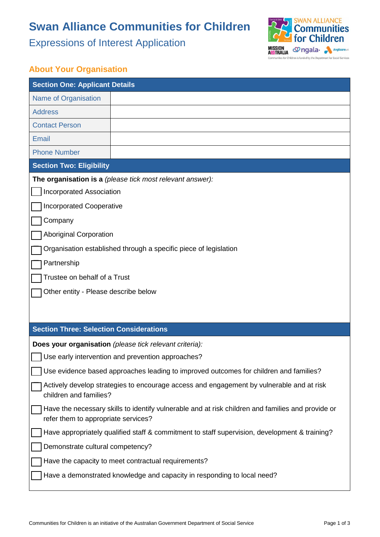# **Swan Alliance Communities for Children**

Expressions of Interest Application



### **About Your Organisation**

| <b>Section One: Applicant Details</b>                                                                                                    |  |  |
|------------------------------------------------------------------------------------------------------------------------------------------|--|--|
| Name of Organisation                                                                                                                     |  |  |
| <b>Address</b>                                                                                                                           |  |  |
| <b>Contact Person</b>                                                                                                                    |  |  |
| Email                                                                                                                                    |  |  |
| <b>Phone Number</b>                                                                                                                      |  |  |
| <b>Section Two: Eligibility</b>                                                                                                          |  |  |
| The organisation is a (please tick most relevant answer):                                                                                |  |  |
| <b>Incorporated Association</b>                                                                                                          |  |  |
| <b>Incorporated Cooperative</b>                                                                                                          |  |  |
| Company                                                                                                                                  |  |  |
| <b>Aboriginal Corporation</b>                                                                                                            |  |  |
| Organisation established through a specific piece of legislation                                                                         |  |  |
| Partnership                                                                                                                              |  |  |
| Trustee on behalf of a Trust                                                                                                             |  |  |
| Other entity - Please describe below                                                                                                     |  |  |
|                                                                                                                                          |  |  |
|                                                                                                                                          |  |  |
| <b>Section Three: Selection Considerations</b>                                                                                           |  |  |
| Does your organisation (please tick relevant criteria):                                                                                  |  |  |
| Use early intervention and prevention approaches?                                                                                        |  |  |
| Use evidence based approaches leading to improved outcomes for children and families?                                                    |  |  |
| Actively develop strategies to encourage access and engagement by vulnerable and at risk<br>children and families?                       |  |  |
| Have the necessary skills to identify vulnerable and at risk children and families and provide or<br>refer them to appropriate services? |  |  |
| Have appropriately qualified staff & commitment to staff supervision, development & training?                                            |  |  |
| Demonstrate cultural competency?                                                                                                         |  |  |
| Have the capacity to meet contractual requirements?                                                                                      |  |  |
| Have a demonstrated knowledge and capacity in responding to local need?                                                                  |  |  |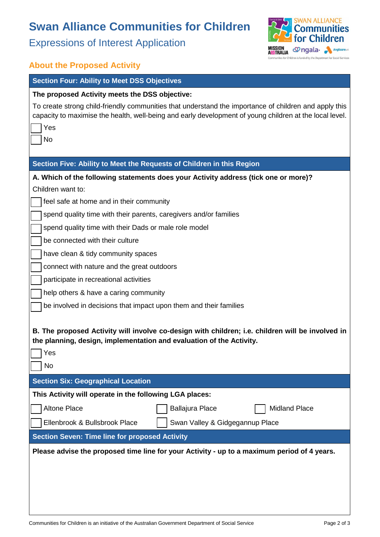## **Swan Alliance Communities for Children**

Expressions of Interest Application



### **About the Proposed Activity**

#### **Section Four: Ability to Meet DSS Objectives**

#### **The proposed Activity meets the DSS objective:**

To create strong child-friendly communities that understand the importance of children and apply this capacity to maximise the health, well-being and early development of young children at the local level.

| capacity to maximise the nearth, well-bellig and early development or young children at the local level.                                                                 |
|--------------------------------------------------------------------------------------------------------------------------------------------------------------------------|
| Yes                                                                                                                                                                      |
| <b>No</b>                                                                                                                                                                |
|                                                                                                                                                                          |
| Section Five: Ability to Meet the Requests of Children in this Region                                                                                                    |
| A. Which of the following statements does your Activity address (tick one or more)?                                                                                      |
| Children want to:                                                                                                                                                        |
| feel safe at home and in their community                                                                                                                                 |
| spend quality time with their parents, caregivers and/or families                                                                                                        |
| spend quality time with their Dads or male role model                                                                                                                    |
| be connected with their culture                                                                                                                                          |
| have clean & tidy community spaces                                                                                                                                       |
| connect with nature and the great outdoors                                                                                                                               |
| participate in recreational activities                                                                                                                                   |
| help others & have a caring community                                                                                                                                    |
| be involved in decisions that impact upon them and their families                                                                                                        |
|                                                                                                                                                                          |
| B. The proposed Activity will involve co-design with children; i.e. children will be involved in<br>the planning, design, implementation and evaluation of the Activity. |
| Yes                                                                                                                                                                      |
| <b>No</b>                                                                                                                                                                |
| <b>Section Six: Geographical Location</b>                                                                                                                                |
| This Activity will operate in the following LGA places:                                                                                                                  |

Altone Place □ □ □ Ballajura Place □ Midland Place Ellenbrook & Bullsbrook Place Swan Valley & Gidgegannup Place

#### **Section Seven: Time line for proposed Activity**

**Please advise the proposed time line for your Activity - up to a maximum period of 4 years.**